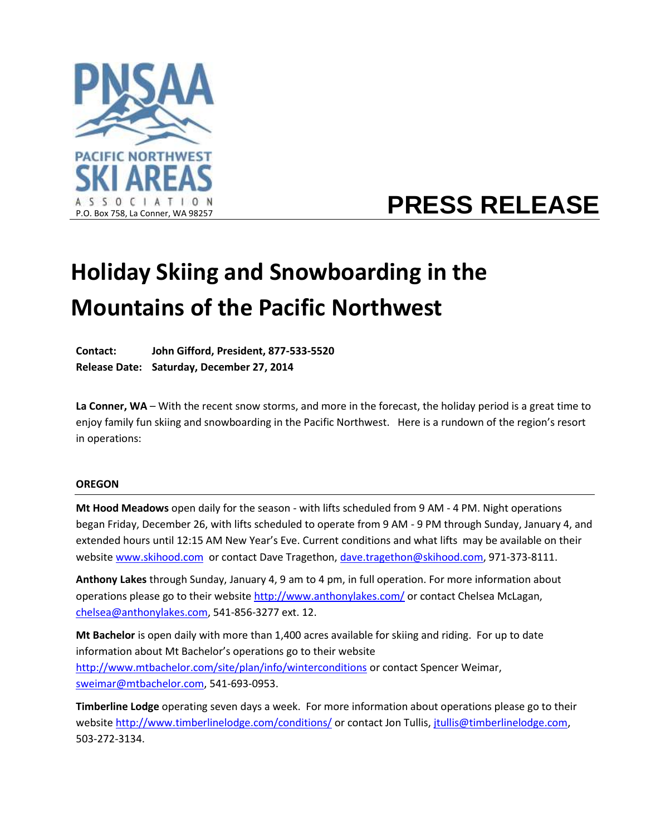

# **PRESS RELEASE**

# **Holiday Skiing and Snowboarding in the Mountains of the Pacific Northwest**

**Contact: John Gifford, President, 877-533-5520 Release Date: Saturday, December 27, 2014**

**La Conner, WA** – With the recent snow storms, and more in the forecast, the holiday period is a great time to enjoy family fun skiing and snowboarding in the Pacific Northwest. Here is a rundown of the region's resort in operations:

## **OREGON**

**Mt Hood Meadows** open daily for the season - with lifts scheduled from 9 AM - 4 PM. Night operations began Friday, December 26, with lifts scheduled to operate from 9 AM - 9 PM through Sunday, January 4, and extended hours until 12:15 AM New Year's Eve. Current conditions and what lifts may be available on their websit[e www.skihood.com](http://www.skihood.com/) or contact Dave Tragethon, [dave.tragethon@skihood.com,](mailto:dave.tragethon@skihood.com) 971-373-8111.

**Anthony Lakes** through Sunday, January 4, 9 am to 4 pm, in full operation. For more information about operations please go to their website<http://www.anthonylakes.com/> or contact Chelsea McLagan, [chelsea@anthonylakes.com,](mailto:chelsea@anthonylakes.com) 541-856-3277 ext. 12.

**Mt Bachelor** is open daily with more than 1,400 acres available for skiing and riding. For up to date information about Mt Bachelor's operations go to their website <http://www.mtbachelor.com/site/plan/info/winterconditions> or contact Spencer Weimar, [sweimar@mtbachelor.com,](mailto:sweimar@mtbachelor.com) 541-693-0953.

**Timberline Lodge** operating seven days a week. For more information about operations please go to their websit[e http://www.timberlinelodge.com/conditions/](http://www.timberlinelodge.com/conditions/) or contact Jon Tullis, [jtullis@timberlinelodge.com,](mailto:jtullis@timberlinelodge.com) 503-272-3134.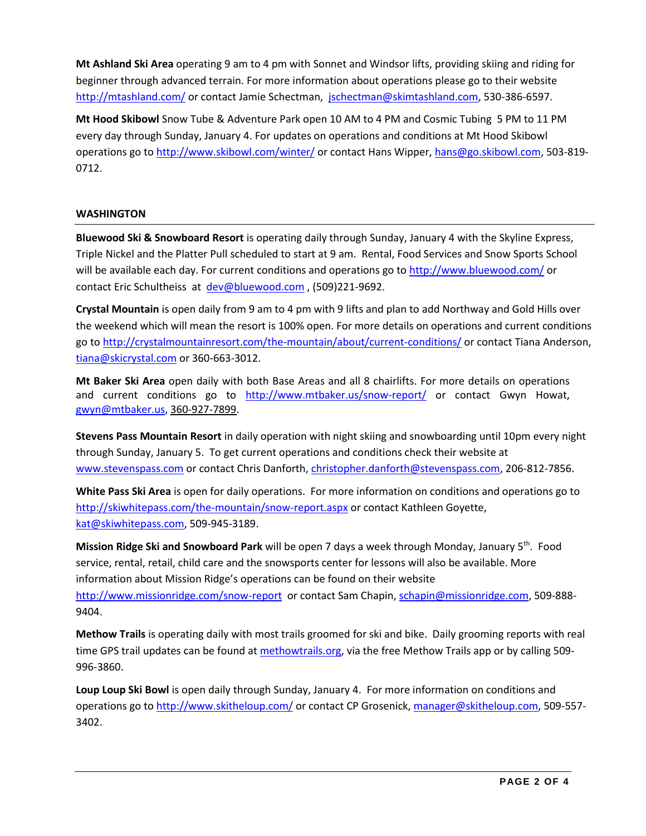**Mt Ashland Ski Area** operating 9 am to 4 pm with Sonnet and Windsor lifts, providing skiing and riding for beginner through advanced terrain. For more information about operations please go to their website <http://mtashland.com/> or contact Jamie Schectman, [jschectman@skimtashland.com,](mailto:jschectman@skimtashland.com) 530-386-6597.

**Mt Hood Skibowl** Snow Tube & Adventure Park open 10 AM to 4 PM and Cosmic Tubing 5 PM to 11 PM every day through Sunday, January 4. For updates on operations and conditions at Mt Hood Skibowl operations go to<http://www.skibowl.com/winter/> or contact Hans Wipper, [hans@go.skibowl.com,](mailto:hans@go.skibowl.com) 503-819- 0712.

## **WASHINGTON**

**Bluewood Ski & Snowboard Resort** is operating daily through Sunday, January 4 with the Skyline Express, Triple Nickel and the Platter Pull scheduled to start at 9 am. Rental, Food Services and Snow Sports School will be available each day. For current conditions and operations go to<http://www.bluewood.com/> or contact Eric Schultheiss at [dev@bluewood.com](mailto:dev@bluewood.com) , (509)221-9692.

**Crystal Mountain** is open daily from 9 am to 4 pm with 9 lifts and plan to add Northway and Gold Hills over the weekend which will mean the resort is 100% open. For more details on operations and current conditions go to<http://crystalmountainresort.com/the-mountain/about/current-conditions/> or contact Tiana Anderson, [tiana@skicrystal.com](mailto:tiana@skicrystal.com) or 360-663-3012.

**Mt Baker Ski Area** open daily with both Base Areas and all 8 chairlifts. For more details on operations and current conditions go to <http://www.mtbaker.us/snow-report/> or contact Gwyn Howat, [gwyn@mtbaker.us,](mailto:gwyn@mtbaker.us) [360-927-7899.](tel:360-927-7899)

**Stevens Pass Mountain Resort** in daily operation with night skiing and snowboarding until 10pm every night through Sunday, January 5. To get current operations and conditions check their website at [www.stevenspass.com](http://www.stevenspass.com/) or contact Chris Danforth, [christopher.danforth@stevenspass.com,](mailto:christopher.danforth@stevenspass.com) 206-812-7856.

**White Pass Ski Area** is open for daily operations. For more information on conditions and operations go to <http://skiwhitepass.com/the-mountain/snow-report.aspx> or contact Kathleen Goyette, [kat@skiwhitepass.com,](mailto:kat@skiwhitepass.com) 509-945-3189.

**Mission Ridge Ski and Snowboard Park** will be open 7 days a week through Monday, January 5th. Food service, rental, retail, child care and the snowsports center for lessons will also be available. More information about Mission Ridge's operations can be found on their website <http://www.missionridge.com/snow-report> or contact Sam Chapin, [schapin@missionridge.com,](mailto:schapin@missionridge.com) 509-888- 9404.

**Methow Trails** is operating daily with most trails groomed for ski and bike.Daily grooming reports with real time GPS trail updates can be found a[t methowtrails.org,](http://methowtrails.org/winter-trails/grooming/) via the free Methow Trails app or by calling 509- 996-3860.

**Loup Loup Ski Bowl** is open daily through Sunday, January 4.For more information on conditions and operations go to<http://www.skitheloup.com/> or contact CP Grosenick, [manager@skitheloup.com,](mailto:manager@skitheloup.com) 509-557- 3402.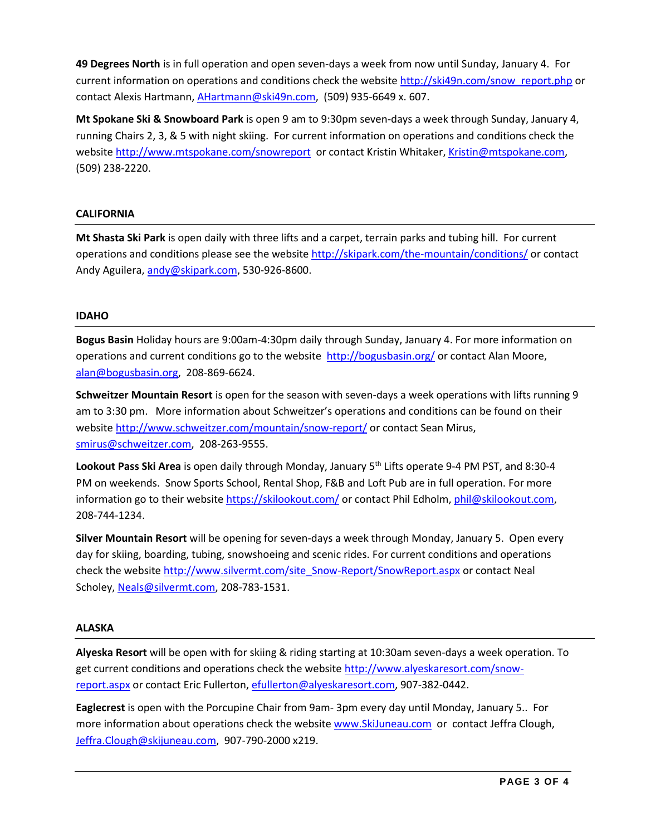**49 Degrees North** is in full operation and open seven-days a week from now until Sunday, January 4. For current information on operations and conditions check the website [http://ski49n.com/snow\\_report.php](http://ski49n.com/snow_report.php) or contact Alexis Hartmann, [AHartmann@ski49n.com,](mailto:AHartmann@ski49n.com) (509) 935-6649 x. 607.

**Mt Spokane Ski & Snowboard Park** is open 9 am to 9:30pm seven-days a week through Sunday, January 4, running Chairs 2, 3, & 5 with night skiing. For current information on operations and conditions check the websit[e http://www.mtspokane.com/snowreport](http://www.mtspokane.com/snowreport) or contact Kristin Whitaker, [Kristin@mtspokane.com,](mailto:Kristin@mtspokane.com) (509) 238-2220.

## **CALIFORNIA**

**Mt Shasta Ski Park** is open daily with three lifts and a carpet, terrain parks and tubing hill. For current operations and conditions please see the website<http://skipark.com/the-mountain/conditions/> or contact Andy Aguilera[, andy@skipark.com,](mailto:andy@skipark.com) 530-926-8600.

## **IDAHO**

**Bogus Basin** Holiday hours are 9:00am-4:30pm daily through Sunday, January 4. For more information on operations and current conditions go to the website<http://bogusbasin.org/> or contact Alan Moore, [alan@bogusbasin.org,](mailto:alan@bogusbasin.org) 208-869-6624.

**Schweitzer Mountain Resort** is open for the season with seven-days a week operations with lifts running 9 am to 3:30 pm. More information about Schweitzer's operations and conditions can be found on their website <http://www.schweitzer.com/mountain/snow-report/> or contact Sean Mirus, [smirus@schweitzer.com,](mailto:smirus@schweitzer.com) 208-263-9555.

Lookout Pass Ski Area is open daily through Monday, January 5<sup>th</sup> Lifts operate 9-4 PM PST, and 8:30-4 PM on weekends. Snow Sports School, Rental Shop, F&B and Loft Pub are in full operation. For more information go to their websit[e https://skilookout.com/](https://skilookout.com/) or contact Phil Edholm[, phil@skilookout.com,](mailto:phil@skilookout.com) 208-744-1234.

**Silver Mountain Resort** will be opening for seven-days a week through Monday, January 5. Open every day for skiing, boarding, tubing, snowshoeing and scenic rides. For current conditions and operations check the website [http://www.silvermt.com/site\\_Snow-Report/SnowReport.aspx](http://www.silvermt.com/site_Snow-Report/SnowReport.aspx) or contact Neal Scholey[, Neals@silvermt.com,](mailto:Neals@silvermt.com) 208-783-1531.

## **ALASKA**

**Alyeska Resort** will be open with for skiing & riding starting at 10:30am seven-days a week operation. To get current conditions and operations check the websit[e http://www.alyeskaresort.com/snow](http://www.alyeskaresort.com/snow-report.aspx)[report.aspx](http://www.alyeskaresort.com/snow-report.aspx) or contact Eric Fullerton[, efullerton@alyeskaresort.com,](mailto:efullerton@alyeskaresort.com) 907-382-0442.

**Eaglecrest** is open with the Porcupine Chair from 9am- 3pm every day until Monday, January 5.. For more information about operations check the websit[e www.SkiJuneau.com](http://www.skijuneau.com/) or contact Jeffra Clough, [Jeffra.Clough@skijuneau.com,](mailto:Jeffra.Clough@skijuneau.com) 907-790-2000 x219.